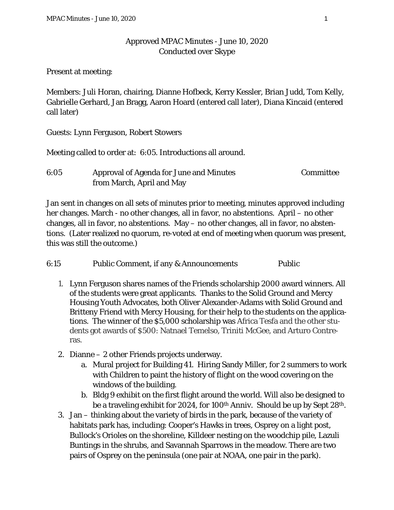## Approved MPAC Minutes - June 10, 2020 Conducted over Skype

Present at meeting:

Members: Juli Horan, chairing, Dianne Hofbeck, Kerry Kessler, Brian Judd, Tom Kelly, Gabrielle Gerhard, Jan Bragg, Aaron Hoard (entered call later), Diana Kincaid (entered call later)

Guests: Lynn Ferguson, Robert Stowers

Meeting called to order at: 6:05. Introductions all around.

| 6:05 | Approval of Agenda for June and Minutes | Committee |
|------|-----------------------------------------|-----------|
|      | from March, April and May               |           |

Jan sent in changes on all sets of minutes prior to meeting, minutes approved including her changes. March - no other changes, all in favor, no abstentions. April – no other changes, all in favor, no abstentions. May – no other changes, all in favor, no abstentions. (Later realized no quorum, re-voted at end of meeting when quorum was present, this was still the outcome.)

6:15 Public Comment, if any & Announcements Public

- 1. Lynn Ferguson shares names of the Friends scholarship 2000 award winners. All of the students were great applicants. Thanks to the Solid Ground and Mercy Housing Youth Advocates, both Oliver Alexander-Adams with Solid Ground and Britteny Friend with Mercy Housing, for their help to the students on the applications. The winner of the \$5,000 scholarship was Africa Tesfa and the other students got awards of \$500: Natnael Temelso, Triniti McGee, and Arturo Contreras.
- 2. Dianne 2 other Friends projects underway.
	- a. Mural project for Building 41. Hiring Sandy Miller, for 2 summers to work with Children to paint the history of flight on the wood covering on the windows of the building.
	- b. Bldg 9 exhibit on the first flight around the world. Will also be designed to be a traveling exhibit for 2024, for 100<sup>th</sup> Anniv. Should be up by Sept 28<sup>th</sup>.
- 3. Jan thinking about the variety of birds in the park, because of the variety of habitats park has, including: Cooper's Hawks in trees, Osprey on a light post, Bullock's Orioles on the shoreline, Killdeer nesting on the woodchip pile, Lazuli Buntings in the shrubs, and Savannah Sparrows in the meadow. There are two pairs of Osprey on the peninsula (one pair at NOAA, one pair in the park).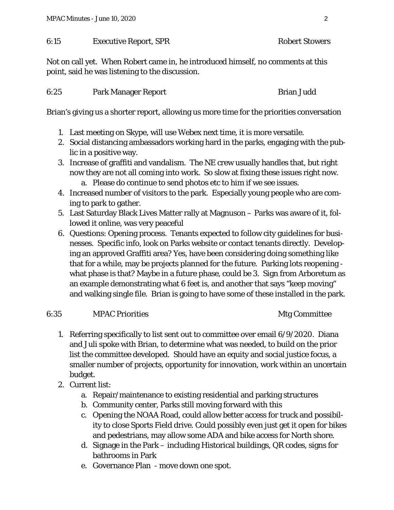#### 6:15 Executive Report, SPR Robert Stowers

Not on call yet. When Robert came in, he introduced himself, no comments at this point, said he was listening to the discussion.

| 6:25 | <b>Park Manager Report</b> | <b>Brian Judd</b> |
|------|----------------------------|-------------------|
|      |                            |                   |

Brian's giving us a shorter report, allowing us more time for the priorities conversation

- 1. Last meeting on Skype, will use Webex next time, it is more versatile.
- 2. Social distancing ambassadors working hard in the parks, engaging with the public in a positive way.
- 3. Increase of graffiti and vandalism. The NE crew usually handles that, but right now they are not all coming into work. So slow at fixing these issues right now. a. Please do continue to send photos etc to him if we see issues.
- 4. Increased number of visitors to the park. Especially young people who are coming to park to gather.
- 5. Last Saturday Black Lives Matter rally at Magnuson Parks was aware of it, followed it online, was very peaceful
- 6. Questions: Opening process. Tenants expected to follow city guidelines for businesses. Specific info, look on Parks website or contact tenants directly. Developing an approved Graffiti area? Yes, have been considering doing something like that for a while, may be projects planned for the future. Parking lots reopening what phase is that? Maybe in a future phase, could be 3. Sign from Arboretum as an example demonstrating what 6 feet is, and another that says "keep moving" and walking single file. Brian is going to have some of these installed in the park.

### 6:35 MPAC Priorities Mtg Committee

- 1. Referring specifically to list sent out to committee over email 6/9/2020. Diana and Juli spoke with Brian, to determine what was needed, to build on the prior list the committee developed. Should have an equity and social justice focus, a smaller number of projects, opportunity for innovation, work within an uncertain budget.
- 2. Current list:
	- a. Repair/maintenance to existing residential and parking structures
	- b. Community center, Parks still moving forward with this
	- c. Opening the NOAA Road, could allow better access for truck and possibility to close Sports Field drive. Could possibly even just get it open for bikes and pedestrians, may allow some ADA and bike access for North shore.
	- d. Signage in the Park including Historical buildings, QR codes, signs for bathrooms in Park
	- e. Governance Plan move down one spot.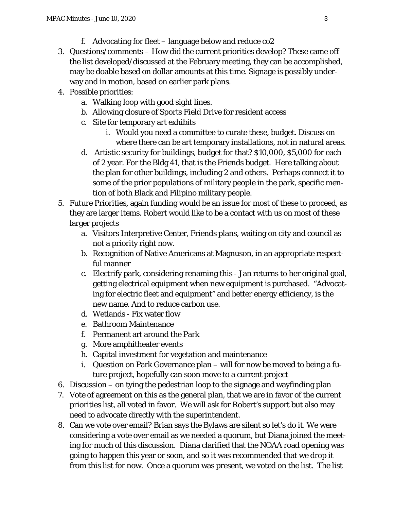- f. Advocating for fleet language below and reduce co2
- 3. Questions/comments How did the current priorities develop? These came off the list developed/discussed at the February meeting, they can be accomplished, may be doable based on dollar amounts at this time. Signage is possibly underway and in motion, based on earlier park plans.
- 4. Possible priorities:
	- a. Walking loop with good sight lines.
	- b. Allowing closure of Sports Field Drive for resident access
	- c. Site for temporary art exhibits
		- i. Would you need a committee to curate these, budget. Discuss on where there can be art temporary installations, not in natural areas.
	- d. Artistic security for buildings, budget for that? \$10,000, \$5,000 for each of 2 year. For the Bldg 41, that is the Friends budget. Here talking about the plan for other buildings, including 2 and others. Perhaps connect it to some of the prior populations of military people in the park, specific mention of both Black and Filipino military people.
- 5. Future Priorities, again funding would be an issue for most of these to proceed, as they are larger items. Robert would like to be a contact with us on most of these larger projects
	- a. Visitors Interpretive Center, Friends plans, waiting on city and council as not a priority right now.
	- b. Recognition of Native Americans at Magnuson, in an appropriate respectful manner
	- c. Electrify park, considering renaming this Jan returns to her original goal, getting electrical equipment when new equipment is purchased. "Advocating for electric fleet and equipment" and better energy efficiency, is the new name. And to reduce carbon use.
	- d. Wetlands Fix water flow
	- e. Bathroom Maintenance
	- f. Permanent art around the Park
	- g. More amphitheater events
	- h. Capital investment for vegetation and maintenance
	- i. Question on Park Governance plan will for now be moved to being a future project, hopefully can soon move to a current project
- 6. Discussion on tying the pedestrian loop to the signage and wayfinding plan
- 7. Vote of agreement on this as the general plan, that we are in favor of the current priorities list, all voted in favor. We will ask for Robert's support but also may need to advocate directly with the superintendent.
- 8. Can we vote over email? Brian says the Bylaws are silent so let's do it. We were considering a vote over email as we needed a quorum, but Diana joined the meeting for much of this discussion. Diana clarified that the NOAA road opening was going to happen this year or soon, and so it was recommended that we drop it from this list for now. Once a quorum was present, we voted on the list. The list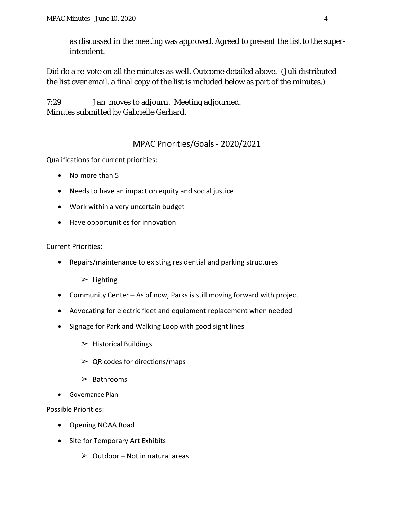as discussed in the meeting was approved. Agreed to present the list to the superintendent.

Did do a re-vote on all the minutes as well. Outcome detailed above. (Juli distributed the list over email, a final copy of the list is included below as part of the minutes.)

7:29 Jan moves to adjourn. Meeting adjourned. Minutes submitted by Gabrielle Gerhard.

# MPAC Priorities/Goals - 2020/2021

Qualifications for current priorities:

- No more than 5
- Needs to have an impact on equity and social justice
- Work within a very uncertain budget
- Have opportunities for innovation

### Current Priorities:

• Repairs/maintenance to existing residential and parking structures

 $\geq$  Lighting

- Community Center As of now, Parks is still moving forward with project
- Advocating for electric fleet and equipment replacement when needed
- Signage for Park and Walking Loop with good sight lines
	- $\triangleright$  Historical Buildings
	- $\geq$  QR codes for directions/maps
	- $\geq$  Bathrooms
- Governance Plan

### Possible Priorities:

- Opening NOAA Road
- Site for Temporary Art Exhibits
	- $\triangleright$  Outdoor Not in natural areas